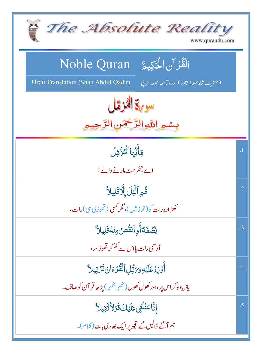| The Absolute Reality<br>www.quran4u.com                                                                  |                |
|----------------------------------------------------------------------------------------------------------|----------------|
| الْقُرْآنِ الْحَكِيمُ ِ Noble Quran                                                                      |                |
| Urdu Translation (Shah Abdul Qadir)<br>(حضرت شاه عبد القادر) اردوتر <i>جمه بمعه ع</i> ربي<br>سورة الثزمل |                |
| بِسْمِ اللَّهِ الرَّحْمَنِ الرَّ                                                                         |                |
| تأثَّبَا ٱلْحَدَّمّالُ                                                                                   | $\overline{1}$ |
| اے جھُر مٹ مارنے والے!                                                                                   |                |
| قُوِ ٱلَّيَٰلَ إِلَّا قَلِيلاً                                                                           | $\cdot$ .2     |
| کھڑ ارہ رات کو( نمازمیں )، مگر کسی ( تھوڑی سی) رات،                                                      |                |
| <u>ئ</u> ِّصَفَةُأَوِ ٱنقُّصُ مِنَّهُ قَلِيلاً                                                           | .3             |
| آدھی رات یااس سے کم کر تھوڑاسا،                                                                          |                |
| أَوْزِدُعَلَيْهِوَيَتِّلِ ٱلْقُرْءَانَ تَزْتِيلاً                                                        | .4             |
| یازیادہ کر اس پر،اور کھول کھول(ٹھُہر ٹھُہر) پڑھ قر آن کوصاف۔                                             |                |
| ٳۣڹۜ۠ٲۺڹ۠ڷ <i>ؙ</i> ؚٙٙڨؚؾ۩ؘؽٙڮٙۊؘڗٳٲؿؘۊؚڽٳٳ                                                             | .5             |
| ہم آگے ڈالیں گے تجھ پر ایک بھاری بات (کلام)۔                                                             |                |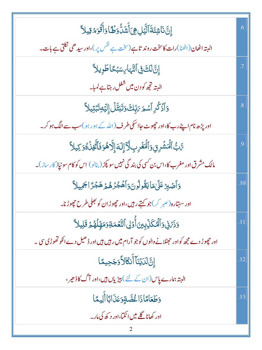| ٳؚڹۜ۠ڹؘٲۺۂؘڐؘٱڶؖؽڸ۞ٲۜۺؘۮۨۏڟٵۏٲۨڐ۬ۘۅؘٷقِيلاً                                                      | .6             |
|--------------------------------------------------------------------------------------------------|----------------|
| البتہ اٹھان(اٹھنا)رات کاسخت روند تاہے(سخت ہے <sup>نفس</sup> پر)،اور سیدھی نکل <u>تی ہ</u> ے بات۔ |                |
| إِنَّ لَكَ فِى ٱلنَّهَا بِسَبْحًا طَوِيلاً                                                       |                |
| البتہ ت <mark>جھ کو دن میں شغل رہتا ہے لمبا</mark> ۔                                             |                |
| <b>وَأَذَكُرِ أَسْمَ بَيِّكَ وَتَبَتَّلُ إِلَيْهِ تَبْتِيلاً</b>                                 | $\overline{8}$ |
| اور پڑھ نام اپنے رب کا،اور چھوٹ جااسکی طرف(اللہ کے ہو رہو )سب سے الگ ہو کر۔                      |                |
| ۥٞڹ۠ٲڵؘڡؗٙۺؙڔۣڹۣۅؘٱڵۘٮؘۼۛڔؚٮؚڶۜٲٳۣڶڎٳ۪ڵٲڟۄڬٱڷۜڂۣۯؙۛۿۏڮۑڵٲ                                        | $\overline{0}$ |
| مالک مشرق اور مغرب کا،اس بن کسی کی بند گی نہیں سو پکڑ (بنالو) اس کو کام سو نپا(کار ساز)۔         |                |
| <u>وَ</u> أَصَّبِرْ عَلَىٰ مَايَقُولُونَ وَأَهُجُرُهُمْ هَجْرًا جَمِيلاً                         | .10            |
| اور سهتاره(ص <sub>بر</sub> کر)جو <del>کہتے رہی</del> ں،اور چھوڑ ان کو بھلی طرح چھوڑنا۔           |                |
| وَذَىٰٓ فِى ٱلۡ ٱلۡكَلَّابِينَ أُوۡلِى ٱلتَّعۡمَـٰةِوَمَهِّلۡهُمۡ قَلِيلاً                       | .11            |
| اور چھوڑ دے مجھ کواور حہٹلانے والوں کو جو آرام میں رہیں ہیں اور ڈ ھیل دے انکو تھوڑی سی ۔         |                |
| إِنَّ لَدَيۡنَآ أَنَكَالاً وَجَحِيمًا                                                            | .12            |
| البتہ ہمارے پاس (ان کے لئے ) بیڑیاں ہیں،اور آگ کاڈھیر ،                                          |                |
| وَطَعَامًاذَا غُصَّةٍوَعَذَابًا أَلِيمًا                                                         | .13            |
| اور کھانا گلے میں اٹکتا،اور د کھ کی مار۔                                                         |                |
|                                                                                                  |                |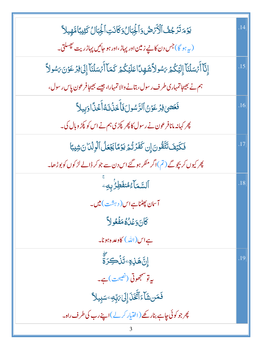| يَوْمَ تَزَجُفُ ٱلْأَمَرْضُ وَٱلْجِبَالُ وَكَانَتِ ٱلْجِبَالُ كَثِيبًا مَّهِيلاً                       | .14 |
|--------------------------------------------------------------------------------------------------------|-----|
| (په <sub>ب</sub> یو گا)جس دن کا نیے زمین اور پہاڑ،اور ہو جائیں پہاڑ ریت پھسلتی۔                        |     |
| إِنَّآ أَجْسَلْنَآ إِلَيْكُمْ بَسُولاً شَهِدًا عَلَيْكُمْ كَمَآ أَجْسَلْنَآ إِلَىٰ فِرْعَوْنَ بَسُولاً | .15 |
| ہم نے بھیجاتمہاری طرف رسول، بتانے والا تمہارا، جیسے بھیجافر عون پاس رسول،                              |     |
| فَعَصَىٰ فِرَْعَوۡنُ ٱلرَّسُولَ فَأَخَذُنَا مَا أَخۡذَا وَبِيلاً                                       | .16 |
| پھر کہانہ مانافر عون نے رسول کا پھر کپڑی ہم نے اس کو کپڑ وبال کی۔                                      |     |
| فَكَيْفَ تَتَّقُونَ إِن كَفَرُتُمُ يَوْمًا يَجْعَلُ ٱلْوِلْدَانَ شِيبًا                                |     |
| پھر کیوں کر بچوگے (تم)اگر منکر ہو گئے اس دن سے جو کر ڈالے لڑ کوں کو بوڑ ھا۔                            |     |
| ٱلسَّمَآءُ مُنفَطِرُبِهِۦ                                                                              | .18 |
| آسان پھٹناہے اس ( دہشت <b>) می</b> ں۔                                                                  |     |
| كَانَ وَعَلْهُمَفَعُولاً                                                                               |     |
| ہےاس(اللہ) کاوعدہ ہونا۔                                                                                |     |
| ٳۣڹ <mark>ٞ</mark> ۿؘڶ <sub>ۣ</sub> ۊؚۦؾؘۜڶۘ <i>ٛ</i> ۘؼؚۯۜۃٚ                                          | .19 |
| یہ تو سمجھوتی (نصیحت)ہے۔                                                                               |     |
| فَمَن شَآءَ ٱتَّْغَنَا إِلَىٰ مَبِّدِ ۖ سَبِيلاً                                                       |     |
| پھر جو کوئی چاہے بنارکھے (اختیار کرلے)اپنے رب کی طرف راہ۔                                              |     |
|                                                                                                        |     |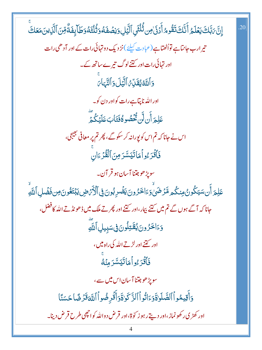إِنَّ بَبَّكَ يَعْلَمُ أَنَّكَ تَقُومُ أَدۡنَىٰ مِن ثُلُثَىِ ٱلَّيَٰلِ وَنِصۡفَهُ وَثُلُثَهُ وَطَآ بِفَةٌ مِّنَ ٱلَّذِينَ مَعَكَ .20 تیر ارب جانتاہے تواُٹھتاہے (عبادت کیلئے )نز دیک دو تہائی رات کے اور آدھی رات اور تہائی رات اور کتنے لوگ تیرے ساتھ کے۔ وَٱللَّهُ يُقَلِّعُ ٱلَّيۡلَ وَٱلنَّهَايَ اور الله ناپ<u>تا ہ</u>ے رات کواور دن کو۔ عَلِمَ أَن لَّن تُحۡصُو ةُفَتَابَ عَلَيۡكُمۡ ۖ اس نے جانا کہ تم اس کو پورانہ کر سکوگے ، پھر تم پر معافی بھیجی، فَأَقْدَءُواْهَاتَيَسَّدَمِنَ ٱلْقُذْءَانِ سوپڑھو جتنا آسان ہو قر آن۔ عَلِمَ أَن سَيَكُونُ مِنكُم مَّرْضَىٰ وَءَاخَرُونَ يَفۡدِبُونَ فِى ٱلۡأَرۡهَضِ يَبۡتَغُونَ مِن فَضۡلِ ٱللَّهِ جانا کہ آگے ہوں گے تم میں کتنے بیار،اور کتنے اور پھر تے ملک میں ڈھونڈ تے اللہ کافضل، وَءَاخَرُونَ يُقَتِلُونَ فِى سَبِيلِ ٱللَّهِ اور <u><sup>ستنے</sup> اور لڑتے اللہ کی راہ میں</u> ، فَأَقْرَءُواْهَاتَيَسَّرَمِنْهُ سویڑھو جتنا آسان اس میں سے ، وَأَقِيمُواْ ٱلصَّلَوٰةَوَءَاتُواْ ٱلزَّكَوٰةَ وَأَقَرِضُواْ ٱللَّهَ قَرْضًا حَسَنًا اور کھڑی رکھونماز ،اور دیتے رہو ز کوۃ،اور قرض دواللہ کواچھی طرح قرض دینا۔